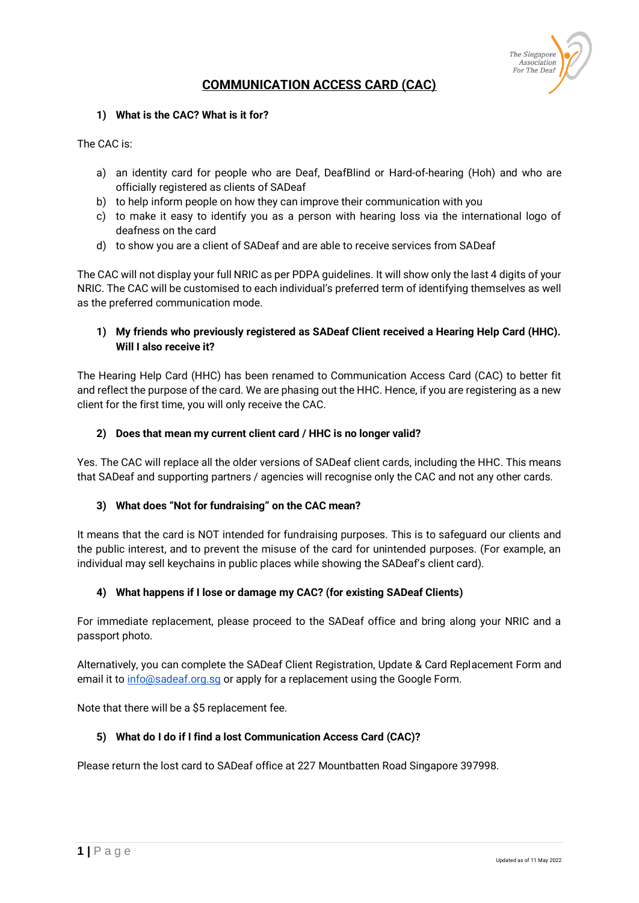

# **COMMUNICATION ACCESS CARD (CAC)**

### **1) What is the CAC? What is it for?**

The CAC is:

- a) an identity card for people who are Deaf, DeafBlind or Hard-of-hearing (Hoh) and who are officially registered as clients of SADeaf
- b) to help inform people on how they can improve their communication with you
- c) to make it easy to identify you as a person with hearing loss via the international logo of deafness on the card
- d) to show you are a client of SADeaf and are able to receive services from SADeaf

The CAC will not display your full NRIC as per PDPA guidelines. It will show only the last 4 digits of your NRIC. The CAC will be customised to each individual's preferred term of identifying themselves as well as the preferred communication mode.

# **1) My friends who previously registered as SADeaf Client received a Hearing Help Card (HHC). Will I also receive it?**

The Hearing Help Card (HHC) has been renamed to Communication Access Card (CAC) to better fit and reflect the purpose of the card. We are phasing out the HHC. Hence, if you are registering as a new client for the first time, you will only receive the CAC.

## **2) Does that mean my current client card / HHC is no longer valid?**

Yes. The CAC will replace all the older versions of SADeaf client cards, including the HHC. This means that SADeaf and supporting partners / agencies will recognise only the CAC and not any other cards.

# **3) What does "Not for fundraising" on the CAC mean?**

It means that the card is NOT intended for fundraising purposes. This is to safeguard our clients and the public interest, and to prevent the misuse of the card for unintended purposes. (For example, an individual may sell keychains in public places while showing the SADeaf's client card).

# **4) What happens if I lose or damage my CAC? (for existing SADeaf Clients)**

For immediate replacement, please proceed to the SADeaf office and bring along your NRIC and a passport photo.

Alternatively, you can complete the SADeaf Client Registration, Update & Card Replacement Form and email it to info@sadeaf.org.sq or apply for a replacement using the Google Form.

Note that there will be a \$5 replacement fee.

### **5) What do I do if I find a lost Communication Access Card (CAC)?**

Please return the lost card to SADeaf office at 227 Mountbatten Road Singapore 397998.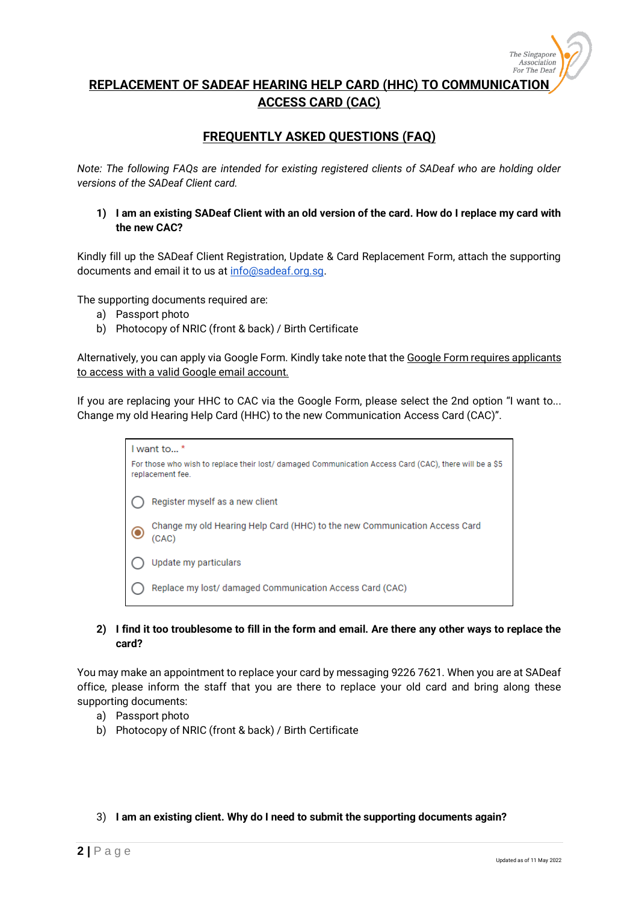

**REPLACEMENT OF SADEAF HEARING HELP CARD (HHC) TO COMMUNICATION ACCESS CARD (CAC)**

# **FREQUENTLY ASKED QUESTIONS (FAQ)**

*Note: The following FAQs are intended for existing registered clients of SADeaf who are holding older versions of the SADeaf Client card.*

**1) I am an existing SADeaf Client with an old version of the card. How do I replace my card with the new CAC?**

Kindly fill up the SADeaf Client Registration, Update & Card Replacement Form, attach the supporting documents and email it to us a[t info@sadeaf.org.sg.](mailto:info@sadeaf.org.sg)

The supporting documents required are:

- a) Passport photo
- b) Photocopy of NRIC (front & back) / Birth Certificate

Alternatively, you can apply via Google Form. Kindly take note that the Google Form requires applicants to access with a valid Google email account.

If you are replacing your HHC to CAC via the Google Form, please select the 2nd option "I want to... Change my old Hearing Help Card (HHC) to the new Communication Access Card (CAC)".

> I want to...\* For those who wish to replace their lost/ damaged Communication Access Card (CAC), there will be a \$5 replacement fee Register myself as a new client Change my old Hearing Help Card (HHC) to the new Communication Access Card 6  $(CAC)$ Update my particulars Replace my lost/ damaged Communication Access Card (CAC)

### **2) I find it too troublesome to fill in the form and email. Are there any other ways to replace the card?**

You may make an appointment to replace your card by messaging 9226 7621. When you are at SADeaf office, please inform the staff that you are there to replace your old card and bring along these supporting documents:

- a) Passport photo
- b) Photocopy of NRIC (front & back) / Birth Certificate
- 3) **I am an existing client. Why do I need to submit the supporting documents again?**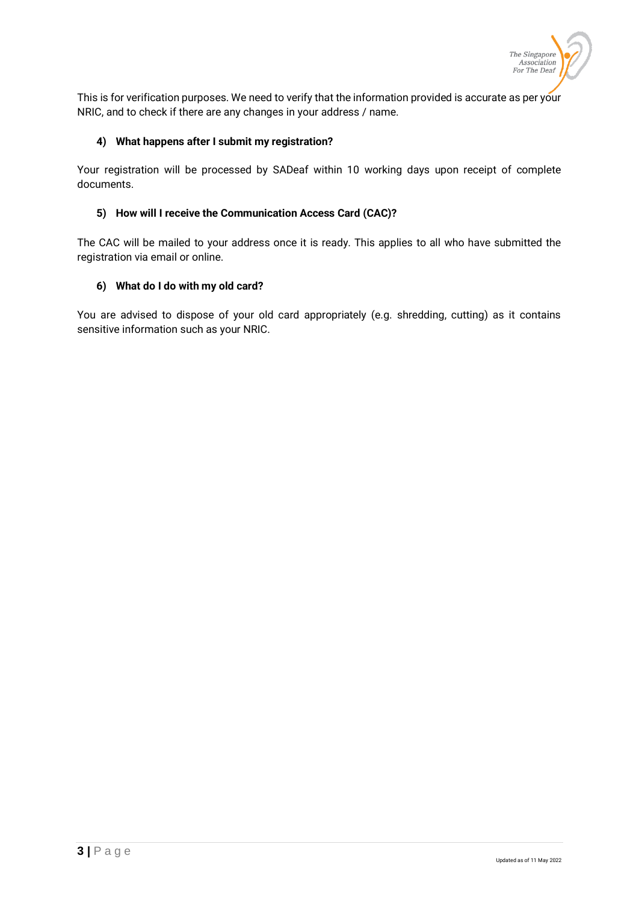

This is for verification purposes. We need to verify that the information provided is accurate as per your NRIC, and to check if there are any changes in your address / name.

## **4) What happens after I submit my registration?**

Your registration will be processed by SADeaf within 10 working days upon receipt of complete documents.

## **5) How will I receive the Communication Access Card (CAC)?**

The CAC will be mailed to your address once it is ready. This applies to all who have submitted the registration via email or online.

## **6) What do I do with my old card?**

You are advised to dispose of your old card appropriately (e.g. shredding, cutting) as it contains sensitive information such as your NRIC.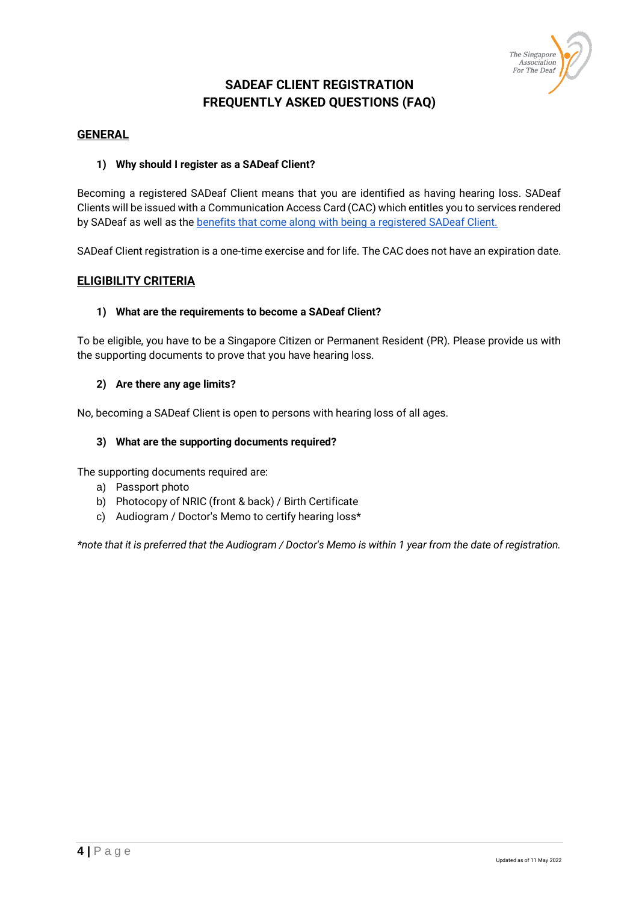

# **SADEAF CLIENT REGISTRATION FREQUENTLY ASKED QUESTIONS (FAQ)**

## **GENERAL**

## **1) Why should I register as a SADeaf Client?**

Becoming a registered SADeaf Client means that you are identified as having hearing loss. SADeaf Clients will be issued with a Communication Access Card (CAC) which entitles you to services rendered by SADeaf as well as the [benefits that come along with being a registered SADeaf Client.](#page-5-0)

SADeaf Client registration is a one-time exercise and for life. The CAC does not have an expiration date.

# **ELIGIBILITY CRITERIA**

### **1) What are the requirements to become a SADeaf Client?**

To be eligible, you have to be a Singapore Citizen or Permanent Resident (PR). Please provide us with the supporting documents to prove that you have hearing loss.

#### **2) Are there any age limits?**

No, becoming a SADeaf Client is open to persons with hearing loss of all ages.

#### **3) What are the supporting documents required?**

The supporting documents required are:

- a) Passport photo
- b) Photocopy of NRIC (front & back) / Birth Certificate
- c) Audiogram / Doctor's Memo to certify hearing loss\*

*\*note that it is preferred that the Audiogram / Doctor's Memo is within 1 year from the date of registration.*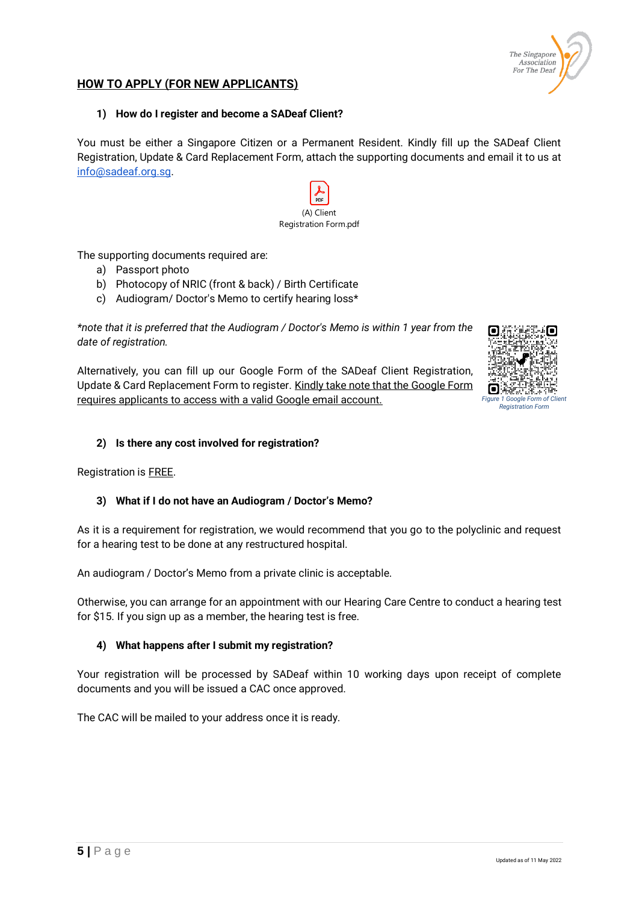

# **HOW TO APPLY (FOR NEW APPLICANTS)**

#### **1) How do I register and become a SADeaf Client?**

You must be either a Singapore Citizen or a Permanent Resident. Kindly fill up the SADeaf Client Registration, Update & Card Replacement Form, attach the supporting documents and email it to us at [info@sadeaf.org.sg.](mailto:info@sadeaf.org.sg)



The supporting documents required are:

- a) Passport photo
- b) Photocopy of NRIC (front & back) / Birth Certificate
- c) Audiogram/ Doctor's Memo to certify hearing loss\*

*\*note that it is preferred that the Audiogram / Doctor's Memo is within 1 year from the date of registration.*

Alternatively, you can fill up our Google Form of the SADeaf Client Registration, Update & Card Replacement Form to register. Kindly take note that the Google Form requires applicants to access with a valid Google email account.



### **2) Is there any cost involved for registration?**

Registration is FREE.

### **3) What if I do not have an Audiogram / Doctor's Memo?**

As it is a requirement for registration, we would recommend that you go to the polyclinic and request for a hearing test to be done at any restructured hospital.

An audiogram / Doctor's Memo from a private clinic is acceptable.

Otherwise, you can arrange for an appointment with our Hearing Care Centre to conduct a hearing test for \$15. If you sign up as a member, the hearing test is free.

### **4) What happens after I submit my registration?**

Your registration will be processed by SADeaf within 10 working days upon receipt of complete documents and you will be issued a CAC once approved.

The CAC will be mailed to your address once it is ready.